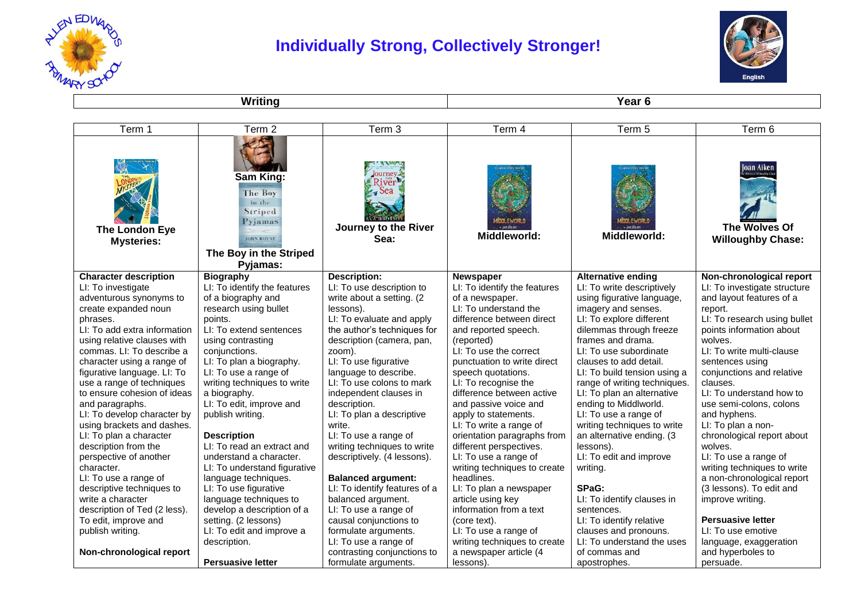



**Writing Year 6** 

| Term 1                              | Term 2                                                                                                                 | Term 3                                                                       | Term 4                       | Term 5                                    | Term 6                                                 |
|-------------------------------------|------------------------------------------------------------------------------------------------------------------------|------------------------------------------------------------------------------|------------------------------|-------------------------------------------|--------------------------------------------------------|
| The London Eye<br><b>Mysteries:</b> | Sam King:<br><b>The Boy</b><br>in the<br>Striped<br>Pyjamas<br><b>JOHN BOYNE</b><br>The Boy in the Striped<br>Pyjamas: | Journey.<br>River <sup>1</sup><br><b>Sea</b><br>Journey to the River<br>Sea: | Middleworld:                 | inni fwori<br>· JARVIELKE<br>Middleworld: | oan Aiken<br>The Wolves Of<br><b>Willoughby Chase:</b> |
| <b>Character description</b>        | <b>Biography</b>                                                                                                       | <b>Description:</b>                                                          | <b>Newspaper</b>             | <b>Alternative ending</b>                 | Non-chronological report                               |
| LI: To investigate                  | LI: To identify the features                                                                                           | LI: To use description to                                                    | LI: To identify the features | LI: To write descriptively                | LI: To investigate structure                           |
| adventurous synonyms to             | of a biography and                                                                                                     | write about a setting. (2                                                    | of a newspaper.              | using figurative language,                | and layout features of a                               |
| create expanded noun                | research using bullet                                                                                                  | lessons).                                                                    | LI: To understand the        | imagery and senses.                       | report.                                                |
| phrases.                            | points.                                                                                                                | LI: To evaluate and apply                                                    | difference between direct    | LI: To explore different                  | LI: To research using bullet                           |
| LI: To add extra information        | LI: To extend sentences                                                                                                | the author's techniques for                                                  | and reported speech.         | dilemmas through freeze                   | points information about                               |
| using relative clauses with         | using contrasting                                                                                                      | description (camera, pan,                                                    | (reported)                   | frames and drama.                         | wolves.                                                |
| commas. LI: To describe a           | conjunctions.                                                                                                          | zoom).                                                                       | LI: To use the correct       | LI: To use subordinate                    | LI: To write multi-clause                              |
| character using a range of          | LI: To plan a biography.                                                                                               | LI: To use figurative                                                        | punctuation to write direct  | clauses to add detail.                    | sentences using                                        |
| figurative language. LI: To         | LI: To use a range of                                                                                                  | language to describe.                                                        | speech quotations.           | LI: To build tension using a              | conjunctions and relative                              |
| use a range of techniques           | writing techniques to write                                                                                            | LI: To use colons to mark                                                    | LI: To recognise the         | range of writing techniques.              | clauses.                                               |
| to ensure cohesion of ideas         | a biography.                                                                                                           | independent clauses in                                                       | difference between active    | LI: To plan an alternative                | LI: To understand how to                               |
| and paragraphs.                     | LI: To edit, improve and                                                                                               | description.                                                                 | and passive voice and        | ending to Middlworld.                     | use semi-colons, colons                                |
| LI: To develop character by         | publish writing.                                                                                                       | LI: To plan a descriptive                                                    | apply to statements.         | LI: To use a range of                     | and hyphens.                                           |
| using brackets and dashes.          |                                                                                                                        | write.                                                                       | LI: To write a range of      | writing techniques to write               | LI: To plan a non-                                     |
| LI: To plan a character             | <b>Description</b>                                                                                                     | LI: To use a range of                                                        | orientation paragraphs from  | an alternative ending. (3                 | chronological report about                             |
| description from the                | LI: To read an extract and                                                                                             | writing techniques to write                                                  | different perspectives.      | lessons).                                 | wolves.                                                |
| perspective of another              | understand a character.                                                                                                | descriptively. (4 lessons).                                                  | LI: To use a range of        | LI: To edit and improve                   | LI: To use a range of                                  |
| character.                          | LI: To understand figurative                                                                                           |                                                                              | writing techniques to create | writing.                                  | writing techniques to write                            |
| LI: To use a range of               | language techniques.                                                                                                   | <b>Balanced argument:</b>                                                    | headlines.                   |                                           | a non-chronological report                             |
| descriptive techniques to           | LI: To use figurative                                                                                                  | LI: To identify features of a                                                | LI: To plan a newspaper      | SPaG:                                     | (3 lessons). To edit and                               |
| write a character                   | language techniques to                                                                                                 | balanced argument.                                                           | article using key            | LI: To identify clauses in                | improve writing.                                       |
| description of Ted (2 less).        | develop a description of a                                                                                             | LI: To use a range of                                                        | information from a text      | sentences.                                |                                                        |
| To edit, improve and                | setting. (2 lessons)                                                                                                   | causal conjunctions to                                                       | (core text).                 | LI: To identify relative                  | <b>Persuasive letter</b>                               |
| publish writing.                    | LI: To edit and improve a                                                                                              | formulate arguments.                                                         | LI: To use a range of        | clauses and pronouns.                     | LI: To use emotive                                     |
|                                     | description.                                                                                                           | LI: To use a range of                                                        | writing techniques to create | LI: To understand the uses                | language, exaggeration                                 |
| Non-chronological report            |                                                                                                                        | contrasting conjunctions to                                                  | a newspaper article (4       | of commas and                             | and hyperboles to                                      |
|                                     | <b>Persuasive letter</b>                                                                                               | formulate arguments.                                                         | lessons).                    | apostrophes.                              | persuade.                                              |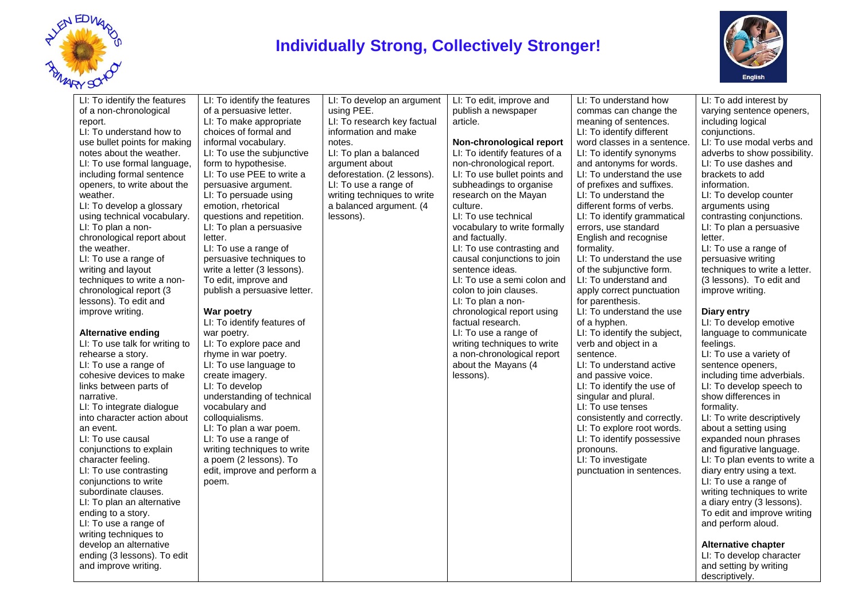



| $\sim$<br>LI: To identify the features<br>of a non-chronological<br>report.<br>LI: To understand how to<br>use bullet points for making<br>notes about the weather.<br>LI: To use formal language,<br>including formal sentence<br>openers, to write about the<br>weather.<br>LI: To develop a glossary<br>using technical vocabulary.<br>LI: To plan a non-<br>chronological report about<br>the weather.<br>LI: To use a range of<br>writing and layout<br>techniques to write a non-<br>chronological report (3<br>lessons). To edit and<br>improve writing.<br>Alternative ending<br>LI: To use talk for writing to<br>rehearse a story.<br>LI: To use a range of<br>cohesive devices to make<br>links between parts of<br>narrative.<br>LI: To integrate dialogue<br>into character action about<br>an event.<br>LI: To use causal<br>conjunctions to explain<br>character feeling.<br>LI: To use contrasting<br>conjunctions to write<br>subordinate clauses.<br>LI: To plan an alternative<br>ending to a story.<br>LI: To use a range of<br>writing techniques to<br>develop an alternative | LI: To identify the features<br>of a persuasive letter.<br>LI: To make appropriate<br>choices of formal and<br>informal vocabulary.<br>LI: To use the subjunctive<br>form to hypothesise.<br>LI: To use PEE to write a<br>persuasive argument.<br>LI: To persuade using<br>emotion, rhetorical<br>questions and repetition.<br>LI: To plan a persuasive<br>letter.<br>LI: To use a range of<br>persuasive techniques to<br>write a letter (3 lessons).<br>To edit, improve and<br>publish a persuasive letter.<br>War poetry<br>LI: To identify features of<br>war poetry.<br>LI: To explore pace and<br>rhyme in war poetry.<br>LI: To use language to<br>create imagery.<br>LI: To develop<br>understanding of technical<br>vocabulary and<br>colloquialisms.<br>LI: To plan a war poem.<br>LI: To use a range of<br>writing techniques to write<br>a poem (2 lessons). To<br>edit, improve and perform a<br>poem. | LI: To develop an argument<br>using PEE.<br>LI: To research key factual<br>information and make<br>notes.<br>LI: To plan a balanced<br>argument about<br>deforestation. (2 lessons).<br>LI: To use a range of<br>writing techniques to write<br>a balanced argument. (4<br>lessons). | LI: To edit, improve and<br>publish a newspaper<br>article.<br>Non-chronological report<br>LI: To identify features of a<br>non-chronological report.<br>LI: To use bullet points and<br>subheadings to organise<br>research on the Mayan<br>culture.<br>LI: To use technical<br>vocabulary to write formally<br>and factually.<br>LI: To use contrasting and<br>causal conjunctions to join<br>sentence ideas.<br>LI: To use a semi colon and<br>colon to join clauses.<br>LI: To plan a non-<br>chronological report using<br>factual research.<br>LI: To use a range of<br>writing techniques to write<br>a non-chronological report<br>about the Mayans (4<br>lessons). | LI: To understand how<br>commas can change the<br>meaning of sentences.<br>LI: To identify different<br>word classes in a sentence.<br>LI: To identify synonyms<br>and antonyms for words.<br>LI: To understand the use<br>of prefixes and suffixes.<br>LI: To understand the<br>different forms of verbs.<br>LI: To identify grammatical<br>errors, use standard<br>English and recognise<br>formality.<br>LI: To understand the use<br>of the subjunctive form.<br>LI: To understand and<br>apply correct punctuation<br>for parenthesis.<br>LI: To understand the use<br>of a hyphen.<br>LI: To identify the subject,<br>verb and object in a<br>sentence.<br>LI: To understand active<br>and passive voice.<br>LI: To identify the use of<br>singular and plural.<br>LI: To use tenses<br>consistently and correctly.<br>LI: To explore root words.<br>LI: To identify possessive<br>pronouns.<br>LI: To investigate<br>punctuation in sentences. | LI: To add interest by<br>varying sentence openers,<br>including logical<br>conjunctions.<br>LI: To use modal verbs and<br>adverbs to show possibility.<br>LI: To use dashes and<br>brackets to add<br>information.<br>LI: To develop counter<br>arguments using<br>contrasting conjunctions.<br>LI: To plan a persuasive<br>letter.<br>LI: To use a range of<br>persuasive writing<br>techniques to write a letter.<br>(3 lessons). To edit and<br>improve writing.<br>Diary entry<br>LI: To develop emotive<br>language to communicate<br>feelings.<br>LI: To use a variety of<br>sentence openers,<br>including time adverbials.<br>LI: To develop speech to<br>show differences in<br>formality.<br>LI: To write descriptively<br>about a setting using<br>expanded noun phrases<br>and figurative language.<br>LI: To plan events to write a<br>diary entry using a text.<br>LI: To use a range of<br>writing techniques to write<br>a diary entry (3 lessons).<br>To edit and improve writing<br>and perform aloud.<br><b>Alternative chapter</b> |
|-----------------------------------------------------------------------------------------------------------------------------------------------------------------------------------------------------------------------------------------------------------------------------------------------------------------------------------------------------------------------------------------------------------------------------------------------------------------------------------------------------------------------------------------------------------------------------------------------------------------------------------------------------------------------------------------------------------------------------------------------------------------------------------------------------------------------------------------------------------------------------------------------------------------------------------------------------------------------------------------------------------------------------------------------------------------------------------------------------|----------------------------------------------------------------------------------------------------------------------------------------------------------------------------------------------------------------------------------------------------------------------------------------------------------------------------------------------------------------------------------------------------------------------------------------------------------------------------------------------------------------------------------------------------------------------------------------------------------------------------------------------------------------------------------------------------------------------------------------------------------------------------------------------------------------------------------------------------------------------------------------------------------------------|--------------------------------------------------------------------------------------------------------------------------------------------------------------------------------------------------------------------------------------------------------------------------------------|-----------------------------------------------------------------------------------------------------------------------------------------------------------------------------------------------------------------------------------------------------------------------------------------------------------------------------------------------------------------------------------------------------------------------------------------------------------------------------------------------------------------------------------------------------------------------------------------------------------------------------------------------------------------------------|-------------------------------------------------------------------------------------------------------------------------------------------------------------------------------------------------------------------------------------------------------------------------------------------------------------------------------------------------------------------------------------------------------------------------------------------------------------------------------------------------------------------------------------------------------------------------------------------------------------------------------------------------------------------------------------------------------------------------------------------------------------------------------------------------------------------------------------------------------------------------------------------------------------------------------------------------------|---------------------------------------------------------------------------------------------------------------------------------------------------------------------------------------------------------------------------------------------------------------------------------------------------------------------------------------------------------------------------------------------------------------------------------------------------------------------------------------------------------------------------------------------------------------------------------------------------------------------------------------------------------------------------------------------------------------------------------------------------------------------------------------------------------------------------------------------------------------------------------------------------------------------------------------------------------------------------------------------------------------------------------------------------------|
| ending (3 lessons). To edit<br>and improve writing.                                                                                                                                                                                                                                                                                                                                                                                                                                                                                                                                                                                                                                                                                                                                                                                                                                                                                                                                                                                                                                                 |                                                                                                                                                                                                                                                                                                                                                                                                                                                                                                                                                                                                                                                                                                                                                                                                                                                                                                                      |                                                                                                                                                                                                                                                                                      |                                                                                                                                                                                                                                                                                                                                                                                                                                                                                                                                                                                                                                                                             |                                                                                                                                                                                                                                                                                                                                                                                                                                                                                                                                                                                                                                                                                                                                                                                                                                                                                                                                                       | LI: To develop character<br>and setting by writing<br>descriptively.                                                                                                                                                                                                                                                                                                                                                                                                                                                                                                                                                                                                                                                                                                                                                                                                                                                                                                                                                                                    |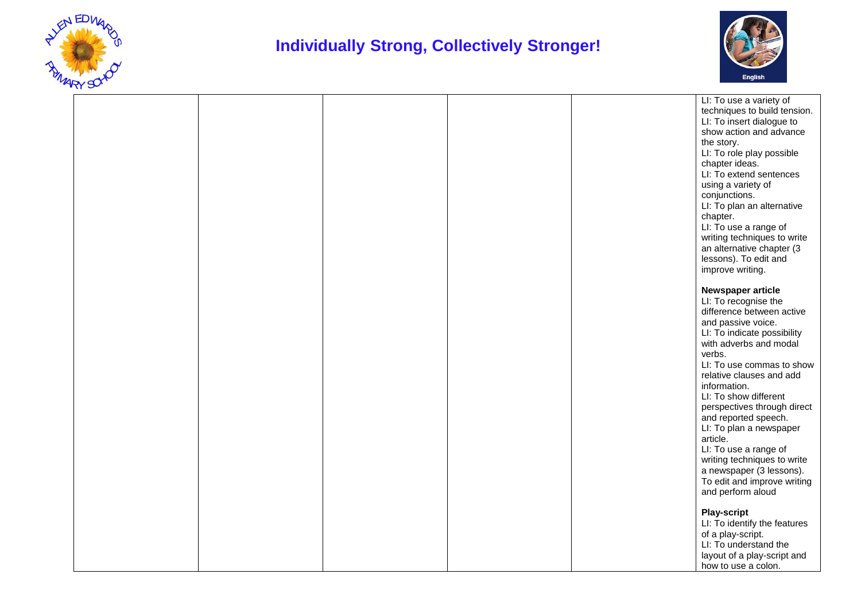



|  |  |  | LI: To use a variety of      |
|--|--|--|------------------------------|
|  |  |  | techniques to build tension. |
|  |  |  | LI: To insert dialogue to    |
|  |  |  | show action and advance      |
|  |  |  | the story.                   |
|  |  |  | LI: To role play possible    |
|  |  |  | chapter ideas.               |
|  |  |  | LI: To extend sentences      |
|  |  |  |                              |
|  |  |  | using a variety of           |
|  |  |  | conjunctions.                |
|  |  |  | LI: To plan an alternative   |
|  |  |  | chapter.                     |
|  |  |  | LI: To use a range of        |
|  |  |  | writing techniques to write  |
|  |  |  | an alternative chapter (3    |
|  |  |  | lessons). To edit and        |
|  |  |  | improve writing.             |
|  |  |  |                              |
|  |  |  | Newspaper article            |
|  |  |  | LI: To recognise the         |
|  |  |  | difference between active    |
|  |  |  | and passive voice.           |
|  |  |  | LI: To indicate possibility  |
|  |  |  | with adverbs and modal       |
|  |  |  | verbs.                       |
|  |  |  | LI: To use commas to show    |
|  |  |  | relative clauses and add     |
|  |  |  |                              |
|  |  |  | information.                 |
|  |  |  | LI: To show different        |
|  |  |  | perspectives through direct  |
|  |  |  | and reported speech.         |
|  |  |  | LI: To plan a newspaper      |
|  |  |  | article.                     |
|  |  |  | LI: To use a range of        |
|  |  |  | writing techniques to write  |
|  |  |  | a newspaper (3 lessons).     |
|  |  |  | To edit and improve writing  |
|  |  |  | and perform aloud            |
|  |  |  |                              |
|  |  |  | <b>Play-script</b>           |
|  |  |  | LI: To identify the features |
|  |  |  | of a play-script.            |
|  |  |  | LI: To understand the        |
|  |  |  | layout of a play-script and  |
|  |  |  |                              |
|  |  |  | how to use a colon.          |